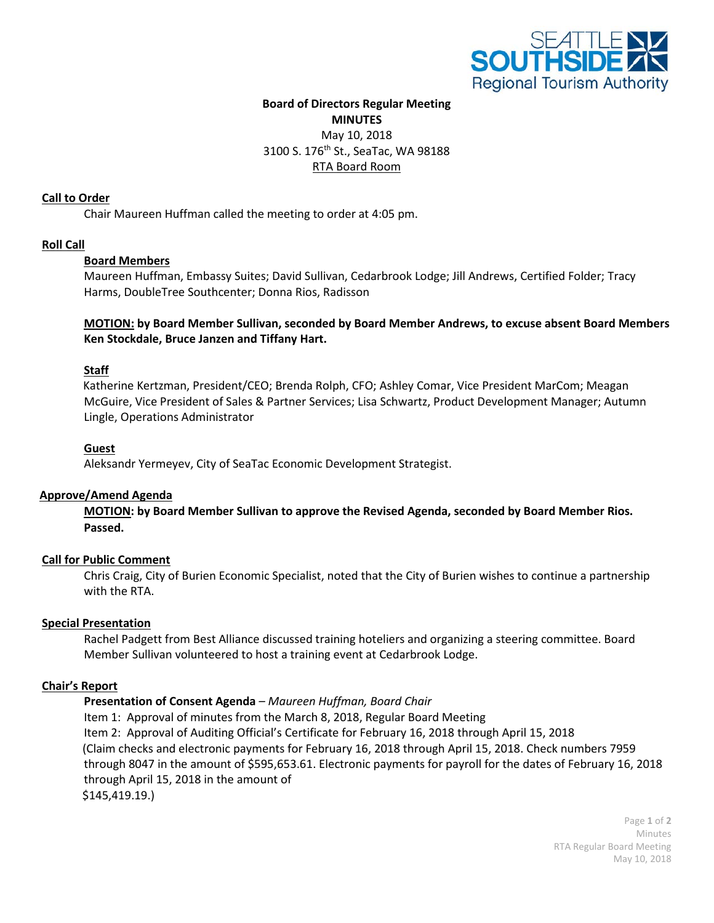

### **Board of Directors Regular Meeting MINUTES** May 10, 2018

3100 S. 176th St., SeaTac, WA 98188

# RTA Board Room

### **Call to Order**

Chair Maureen Huffman called the meeting to order at 4:05 pm.

## **Roll Call**

## **Board Members**

Maureen Huffman, Embassy Suites; David Sullivan, Cedarbrook Lodge; Jill Andrews, Certified Folder; Tracy Harms, DoubleTree Southcenter; Donna Rios, Radisson

### **MOTION: by Board Member Sullivan, seconded by Board Member Andrews, to excuse absent Board Members Ken Stockdale, Bruce Janzen and Tiffany Hart.**

# **Staff**

Katherine Kertzman, President/CEO; Brenda Rolph, CFO; Ashley Comar, Vice President MarCom; Meagan McGuire, Vice President of Sales & Partner Services; Lisa Schwartz, Product Development Manager; Autumn Lingle, Operations Administrator

## **Guest**

Aleksandr Yermeyev, City of SeaTac Economic Development Strategist.

### **Approve/Amend Agenda**

**MOTION: by Board Member Sullivan to approve the Revised Agenda, seconded by Board Member Rios. Passed.**

### **Call for Public Comment**

Chris Craig, City of Burien Economic Specialist, noted that the City of Burien wishes to continue a partnership with the RTA.

### **Special Presentation**

Rachel Padgett from Best Alliance discussed training hoteliers and organizing a steering committee. Board Member Sullivan volunteered to host a training event at Cedarbrook Lodge.

### **Chair's Report**

### **Presentation of Consent Agenda** *– Maureen Huffman, Board Chair*

Item 1: Approval of minutes from the March 8, 2018, Regular Board Meeting Item 2: Approval of Auditing Official's Certificate for February 16, 2018 through April 15, 2018 (Claim checks and electronic payments for February 16, 2018 through April 15, 2018. Check numbers 7959 through 8047 in the amount of \$595,653.61. Electronic payments for payroll for the dates of February 16, 2018 through April 15, 2018 in the amount of \$145,419.19.)

> Page **1** of **2** Minutes RTA Regular Board Meeting May 10, 2018